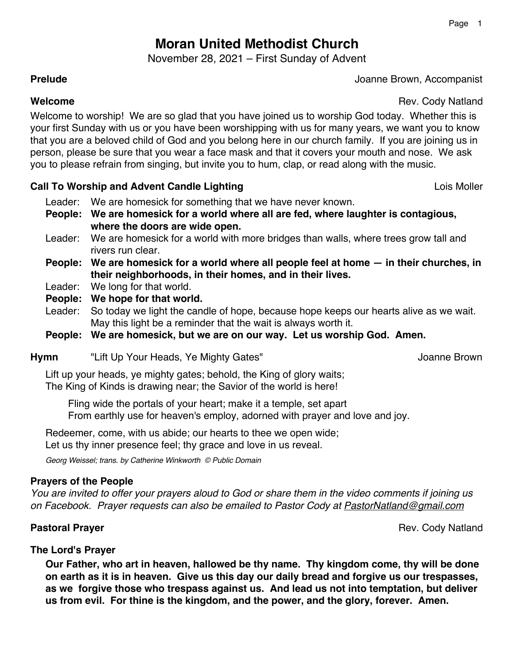# **Moran United Methodist Church**

November 28, 2021 – First Sunday of Advent

**Prelude** Joanne Brown, Accompanist

**Welcome Rev. Cody Natland** 

Welcome to worship! We are so glad that you have joined us to worship God today. Whether this is your first Sunday with us or you have been worshipping with us for many years, we want you to know that you are a beloved child of God and you belong here in our church family. If you are joining us in person, please be sure that you wear a face mask and that it covers your mouth and nose. We ask you to please refrain from singing, but invite you to hum, clap, or read along with the music.

# **Call To Worship and Advent Candle Lighting** *Call To Worship and Advent Candle Lighting* **<b>Lois Moller**

- Leader: We are homesick for something that we have never known.
- **People: We are homesick for a world where all are fed, where laughter is contagious, where the doors are wide open.**
- Leader: We are homesick for a world with more bridges than walls, where trees grow tall and rivers run clear.
- **People: We are homesick for a world where all people feel at home — in their churches, in their neighborhoods, in their homes, and in their lives.**
- Leader: We long for that world.
- **People: We hope for that world.**
- Leader: So today we light the candle of hope, because hope keeps our hearts alive as we wait. May this light be a reminder that the wait is always worth it.

**People: We are homesick, but we are on our way. Let us worship God. Amen.**

**Hymn** "Lift Up Your Heads, Ye Mighty Gates" Network and the Second School Brown

Lift up your heads, ye mighty gates; behold, the King of glory waits; The King of Kinds is drawing near; the Savior of the world is here!

Fling wide the portals of your heart; make it a temple, set apart From earthly use for heaven's employ, adorned with prayer and love and joy.

Redeemer, come, with us abide; our hearts to thee we open wide; Let us thy inner presence feel; thy grace and love in us reveal.

*Georg Weissel; trans. by Catherine Winkworth © Public Domain*

# **Prayers of the People**

*You are invited to offer your prayers aloud to God or share them in the video comments if joining us on Facebook. Prayer requests can also be emailed to Pastor Cody at PastorNatland@gmail.com*

**Pastoral Prayer Community Community Pastoral Prayer Advisors And American Community Community Cody Natland** 

# **The Lord's Prayer**

**Our Father, who art in heaven, hallowed be thy name. Thy kingdom come, thy will be done on earth as it is in heaven. Give us this day our daily bread and forgive us our trespasses, as we forgive those who trespass against us. And lead us not into temptation, but deliver us from evil. For thine is the kingdom, and the power, and the glory, forever. Amen.**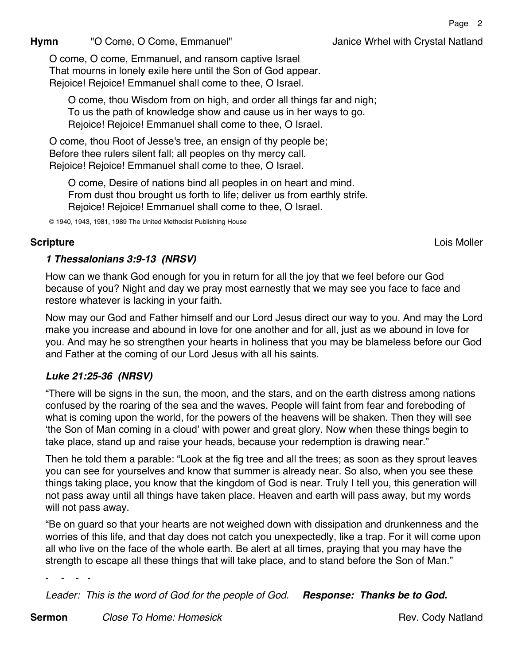**Hymn** "O Come, O Come, Emmanuel" **Interest Contains Computer** Janice Wrhel with Crystal Natland

O come, O come, Emmanuel, and ransom captive Israel That mourns in lonely exile here until the Son of God appear. Rejoice! Rejoice! Emmanuel shall come to thee, O Israel.

O come, thou Wisdom from on high, and order all things far and nigh; To us the path of knowledge show and cause us in her ways to go. Rejoice! Rejoice! Emmanuel shall come to thee, O Israel.

O come, thou Root of Jesse's tree, an ensign of thy people be; Before thee rulers silent fall; all peoples on thy mercy call. Rejoice! Rejoice! Emmanuel shall come to thee, O Israel.

O come, Desire of nations bind all peoples in on heart and mind. From dust thou brought us forth to life; deliver us from earthly strife. Rejoice! Rejoice! Emmanuel shall come to thee, O Israel.

© 1940, 1943, 1981, 1989 The United Methodist Publishing House

*1 Thessalonians 3:9-13 (NRSV)*

How can we thank God enough for you in return for all the joy that we feel before our God because of you? Night and day we pray most earnestly that we may see you face to face and restore whatever is lacking in your faith.

Now may our God and Father himself and our Lord Jesus direct our way to you. And may the Lord make you increase and abound in love for one another and for all, just as we abound in love for you. And may he so strengthen your hearts in holiness that you may be blameless before our God and Father at the coming of our Lord Jesus with all his saints.

# *Luke 21:25-36 (NRSV)*

"There will be signs in the sun, the moon, and the stars, and on the earth distress among nations confused by the roaring of the sea and the waves. People will faint from fear and foreboding of what is coming upon the world, for the powers of the heavens will be shaken. Then they will see 'the Son of Man coming in a cloud' with power and great glory. Now when these things begin to take place, stand up and raise your heads, because your redemption is drawing near."

Then he told them a parable: "Look at the fig tree and all the trees; as soon as they sprout leaves you can see for yourselves and know that summer is already near. So also, when you see these things taking place, you know that the kingdom of God is near. Truly I tell you, this generation will not pass away until all things have taken place. Heaven and earth will pass away, but my words will not pass away.

"Be on guard so that your hearts are not weighed down with dissipation and drunkenness and the worries of this life, and that day does not catch you unexpectedly, like a trap. For it will come upon all who live on the face of the whole earth. Be alert at all times, praying that you may have the strength to escape all these things that will take place, and to stand before the Son of Man."

- *- - -*

*Leader: This is the word of God for the people of God. Response: Thanks be to God.*

**Scripture** Lois Moller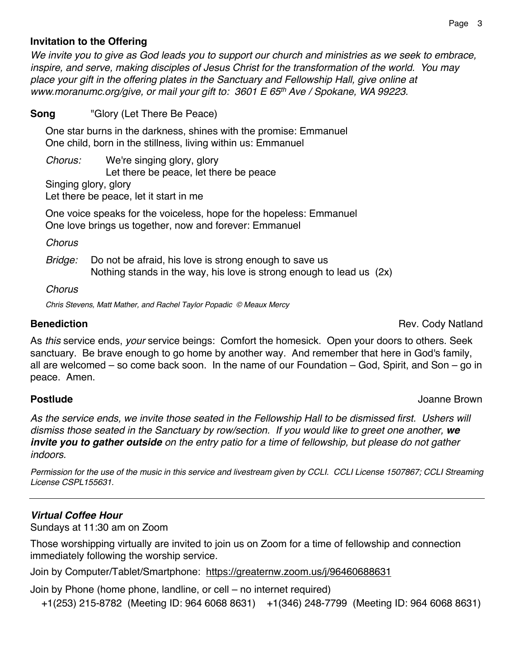### Page 3

### **Invitation to the Offering**

*We invite you to give as God leads you to support our church and ministries as we seek to embrace, inspire, and serve, making disciples of Jesus Christ for the transformation of the world. You may place your gift in the offering plates in the Sanctuary and Fellowship Hall, give online at www.moranumc.org/give, or mail your gift to: 3601 E 65th Ave / Spokane, WA 99223.*

**Song** "Glory (Let There Be Peace)

One star burns in the darkness, shines with the promise: Emmanuel One child, born in the stillness, living within us: Emmanuel

*Chorus:* We're singing glory, glory

Let there be peace, let there be peace

Singing glory, glory

Let there be peace, let it start in me

One voice speaks for the voiceless, hope for the hopeless: Emmanuel One love brings us together, now and forever: Emmanuel

*Chorus*

*Bridge:* Do not be afraid, his love is strong enough to save us Nothing stands in the way, his love is strong enough to lead us (2x)

### *Chorus*

*Chris Stevens, Matt Mather, and Rachel Taylor Popadic © Meaux Mercy*

**Benediction** Rev. Cody Natland

As *this* service ends, *your* service beings: Comfort the homesick. Open your doors to others. Seek sanctuary. Be brave enough to go home by another way. And remember that here in God's family, all are welcomed – so come back soon. In the name of our Foundation – God, Spirit, and Son – go in peace. Amen.

**Postlude** Joanne Brown

*As the service ends, we invite those seated in the Fellowship Hall to be dismissed first. Ushers will dismiss those seated in the Sanctuary by row/section. If you would like to greet one another, we invite you to gather outside on the entry patio for a time of fellowship, but please do not gather indoors.*

*Permission for the use of the music in this service and livestream given by CCLI. CCLI License 1507867; CCLI Streaming License CSPL155631.*

### *Virtual Coffee Hour*

Sundays at 11:30 am on Zoom

Those worshipping virtually are invited to join us on Zoom for a time of fellowship and connection immediately following the worship service.

Join by Computer/Tablet/Smartphone: https://greaternw.zoom.us/j/96460688631

Join by Phone (home phone, landline, or cell – no internet required)

+1(253) 215-8782 (Meeting ID: 964 6068 8631) +1(346) 248-7799 (Meeting ID: 964 6068 8631)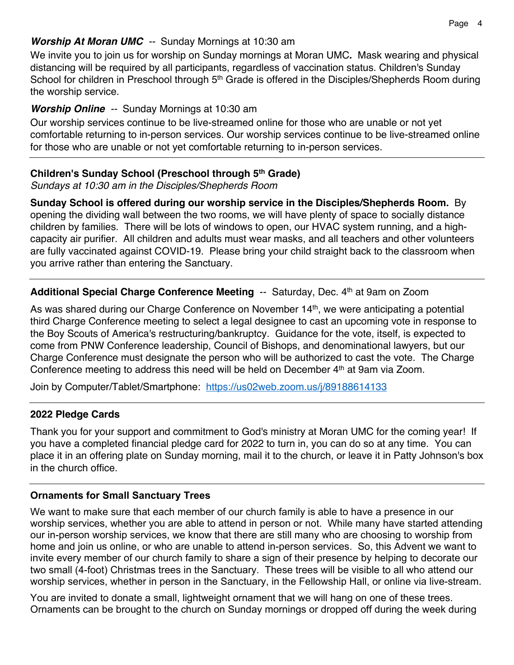# *Worship At Moran UMC --* Sunday Mornings at 10:30 am

We invite you to join us for worship on Sunday mornings at Moran UMC**.** Mask wearing and physical distancing will be required by all participants, regardless of vaccination status. Children's Sunday School for children in Preschool through 5<sup>th</sup> Grade is offered in the Disciples/Shepherds Room during the worship service.

# *Worship Online --* Sunday Mornings at 10:30 am

Our worship services continue to be live-streamed online for those who are unable or not yet comfortable returning to in-person services. Our worship services continue to be live-streamed online for those who are unable or not yet comfortable returning to in-person services.

# **Children's Sunday School (Preschool through 5th Grade)**

*Sundays at 10:30 am in the Disciples/Shepherds Room*

**Sunday School is offered during our worship service in the Disciples/Shepherds Room.** By opening the dividing wall between the two rooms, we will have plenty of space to socially distance children by families. There will be lots of windows to open, our HVAC system running, and a highcapacity air purifier. All children and adults must wear masks, and all teachers and other volunteers are fully vaccinated against COVID-19. Please bring your child straight back to the classroom when you arrive rather than entering the Sanctuary.

# **Additional Special Charge Conference Meeting** -- Saturday, Dec. 4th at 9am on Zoom

As was shared during our Charge Conference on November 14<sup>th</sup>, we were anticipating a potential third Charge Conference meeting to select a legal designee to cast an upcoming vote in response to the Boy Scouts of America's restructuring/bankruptcy. Guidance for the vote, itself, is expected to come from PNW Conference leadership, Council of Bishops, and denominational lawyers, but our Charge Conference must designate the person who will be authorized to cast the vote. The Charge Conference meeting to address this need will be held on December 4<sup>th</sup> at 9am via Zoom.

Join by Computer/Tablet/Smartphone: https://us02web.zoom.us/i/89188614133

# **2022 Pledge Cards**

Thank you for your support and commitment to God's ministry at Moran UMC for the coming year! If you have a completed financial pledge card for 2022 to turn in, you can do so at any time. You can place it in an offering plate on Sunday morning, mail it to the church, or leave it in Patty Johnson's box in the church office.

# **Ornaments for Small Sanctuary Trees**

We want to make sure that each member of our church family is able to have a presence in our worship services, whether you are able to attend in person or not. While many have started attending our in-person worship services, we know that there are still many who are choosing to worship from home and join us online, or who are unable to attend in-person services. So, this Advent we want to invite every member of our church family to share a sign of their presence by helping to decorate our two small (4-foot) Christmas trees in the Sanctuary. These trees will be visible to all who attend our worship services, whether in person in the Sanctuary, in the Fellowship Hall, or online via live-stream.

You are invited to donate a small, lightweight ornament that we will hang on one of these trees. Ornaments can be brought to the church on Sunday mornings or dropped off during the week during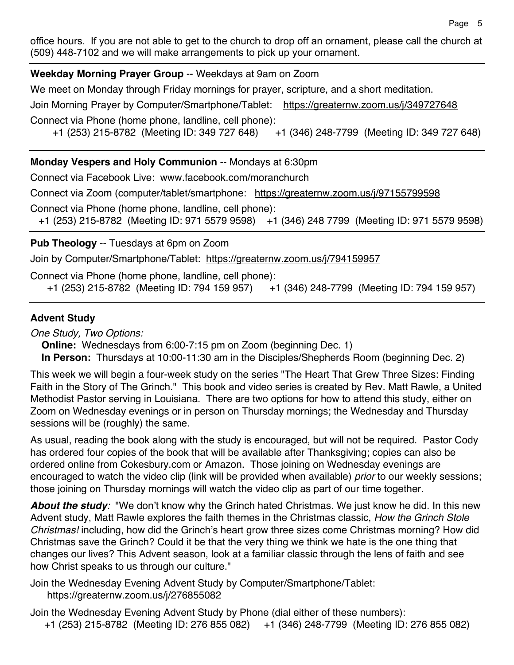office hours. If you are not able to get to the church to drop off an ornament, please call the church at (509) 448-7102 and we will make arrangements to pick up your ornament.

### **Weekday Morning Prayer Group** -- Weekdays at 9am on Zoom

We meet on Monday through Friday mornings for prayer, scripture, and a short meditation. Join Morning Prayer by Computer/Smartphone/Tablet: https://greaternw.zoom.us/j/349727648 Connect via Phone (home phone, landline, cell phone):

+1 (253) 215-8782 (Meeting ID: 349 727 648) +1 (346) 248-7799 (Meeting ID: 349 727 648)

### **Monday Vespers and Holy Communion** -- Mondays at 6:30pm

Connect via Facebook Live: www.facebook.com/moranchurch

Connect via Zoom (computer/tablet/smartphone: https://greaternw.zoom.us/j/97155799598

Connect via Phone (home phone, landline, cell phone):

+1 (253) 215-8782 (Meeting ID: 971 5579 9598) +1 (346) 248 7799 (Meeting ID: 971 5579 9598)

**Pub Theology** -- Tuesdays at 6pm on Zoom

Join by Computer/Smartphone/Tablet: https://greaternw.zoom.us/j/794159957

Connect via Phone (home phone, landline, cell phone):

+1 (253) 215-8782 (Meeting ID: 794 159 957) +1 (346) 248-7799 (Meeting ID: 794 159 957)

# **Advent Study**

*One Study, Two Options:* 

**Online:** Wednesdays from 6:00-7:15 pm on Zoom (beginning Dec. 1)

**In Person:** Thursdays at 10:00-11:30 am in the Disciples/Shepherds Room (beginning Dec. 2)

This week we will begin a four-week study on the series "The Heart That Grew Three Sizes: Finding Faith in the Story of The Grinch." This book and video series is created by Rev. Matt Rawle, a United Methodist Pastor serving in Louisiana. There are two options for how to attend this study, either on Zoom on Wednesday evenings or in person on Thursday mornings; the Wednesday and Thursday sessions will be (roughly) the same.

As usual, reading the book along with the study is encouraged, but will not be required. Pastor Cody has ordered four copies of the book that will be available after Thanksgiving; copies can also be ordered online from Cokesbury.com or Amazon. Those joining on Wednesday evenings are encouraged to watch the video clip (link will be provided when available) *prior* to our weekly sessions; those joining on Thursday mornings will watch the video clip as part of our time together.

*About the study:* "We don't know why the Grinch hated Christmas. We just know he did. In this new Advent study, Matt Rawle explores the faith themes in the Christmas classic, *How the Grinch Stole Christmas!* including, how did the Grinch's heart grow three sizes come Christmas morning? How did Christmas save the Grinch? Could it be that the very thing we think we hate is the one thing that changes our lives? This Advent season, look at a familiar classic through the lens of faith and see how Christ speaks to us through our culture."

Join the Wednesday Evening Advent Study by Computer/Smartphone/Tablet: https://greaternw.zoom.us/j/276855082

Join the Wednesday Evening Advent Study by Phone (dial either of these numbers): +1 (253) 215-8782 (Meeting ID: 276 855 082) +1 (346) 248-7799 (Meeting ID: 276 855 082)